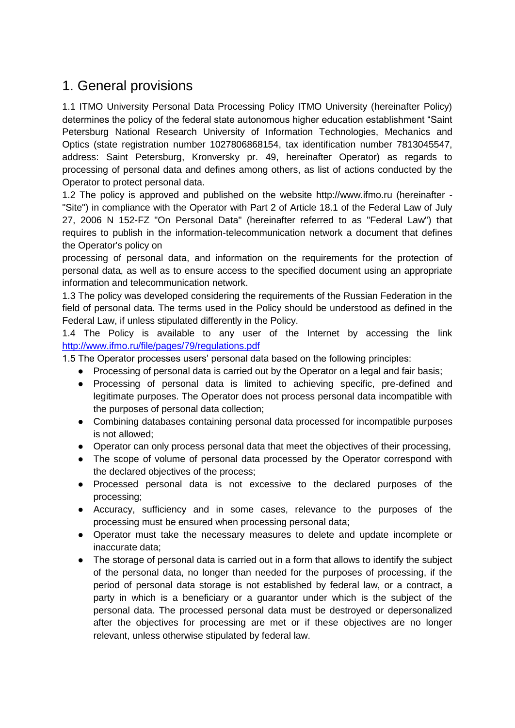## 1. General provisions

1.1 ITMO University Personal Data Processing Policy ITMO University (hereinafter Policy) determines the policy of the federal state autonomous higher education establishment "Saint Petersburg National Research University of Information Technologies, Mechanics and Optics (state registration number 1027806868154, tax identification number 7813045547, address: Saint Petersburg, Kronversky pr. 49, hereinafter Operator) as regards to processing of personal data and defines among others, as list of actions conducted by the Operator to protect personal data.

1.2 The policy is approved and published on the website http://www.ifmo.ru (hereinafter - "Site") in compliance with the Operator with Part 2 of Article 18.1 of the Federal Law of July 27, 2006 N 152-FZ "On Personal Data" (hereinafter referred to as "Federal Law") that requires to publish in the information-telecommunication network a document that defines the Operator's policy on

processing of personal data, and information on the requirements for the protection of personal data, as well as to ensure access to the specified document using an appropriate information and telecommunication network.

1.3 The policy was developed considering the requirements of the Russian Federation in the field of personal data. The terms used in the Policy should be understood as defined in the Federal Law, if unless stipulated differently in the Policy.

1.4 The Policy is available to any user of the Internet by accessing the link <http://www.ifmo.ru/file/pages/79/regulations.pdf>

1.5 The Operator processes users' personal data based on the following principles:

- Processing of personal data is carried out by the Operator on a legal and fair basis;
- Processing of personal data is limited to achieving specific, pre-defined and legitimate purposes. The Operator does not process personal data incompatible with the purposes of personal data collection;
- Combining databases containing personal data processed for incompatible purposes is not allowed;
- Operator can only process personal data that meet the objectives of their processing,
- The scope of volume of personal data processed by the Operator correspond with the declared objectives of the process;
- Processed personal data is not excessive to the declared purposes of the processing;
- Accuracy, sufficiency and in some cases, relevance to the purposes of the processing must be ensured when processing personal data;
- Operator must take the necessary measures to delete and update incomplete or inaccurate data;
- The storage of personal data is carried out in a form that allows to identify the subject of the personal data, no longer than needed for the purposes of processing, if the period of personal data storage is not established by federal law, or a contract, a party in which is a beneficiary or a guarantor under which is the subject of the personal data. The processed personal data must be destroyed or depersonalized after the objectives for processing are met or if these objectives are no longer relevant, unless otherwise stipulated by federal law.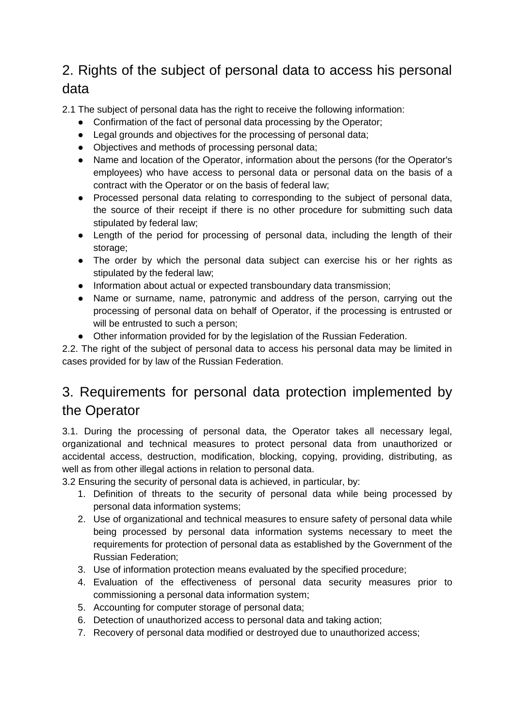## 2. Rights of the subject of personal data to access his personal data

2.1 The subject of personal data has the right to receive the following information:

- Confirmation of the fact of personal data processing by the Operator;
- Legal grounds and objectives for the processing of personal data;
- Objectives and methods of processing personal data;
- Name and location of the Operator, information about the persons (for the Operator's employees) who have access to personal data or personal data on the basis of a contract with the Operator or on the basis of federal law;
- Processed personal data relating to corresponding to the subject of personal data, the source of their receipt if there is no other procedure for submitting such data stipulated by federal law;
- Length of the period for processing of personal data, including the length of their storage;
- The order by which the personal data subject can exercise his or her rights as stipulated by the federal law;
- Information about actual or expected transboundary data transmission;
- Name or surname, name, patronymic and address of the person, carrying out the processing of personal data on behalf of Operator, if the processing is entrusted or will be entrusted to such a person;
- Other information provided for by the legislation of the Russian Federation.

2.2. The right of the subject of personal data to access his personal data may be limited in cases provided for by law of the Russian Federation.

## 3. Requirements for personal data protection implemented by the Operator

3.1. During the processing of personal data, the Operator takes all necessary legal, organizational and technical measures to protect personal data from unauthorized or accidental access, destruction, modification, blocking, copying, providing, distributing, as well as from other illegal actions in relation to personal data.

3.2 Ensuring the security of personal data is achieved, in particular, by:

- 1. Definition of threats to the security of personal data while being processed by personal data information systems;
- 2. Use of organizational and technical measures to ensure safety of personal data while being processed by personal data information systems necessary to meet the requirements for protection of personal data as established by the Government of the Russian Federation;
- 3. Use of information protection means evaluated by the specified procedure;
- 4. Evaluation of the effectiveness of personal data security measures prior to commissioning a personal data information system;
- 5. Accounting for computer storage of personal data;
- 6. Detection of unauthorized access to personal data and taking action;
- 7. Recovery of personal data modified or destroyed due to unauthorized access;